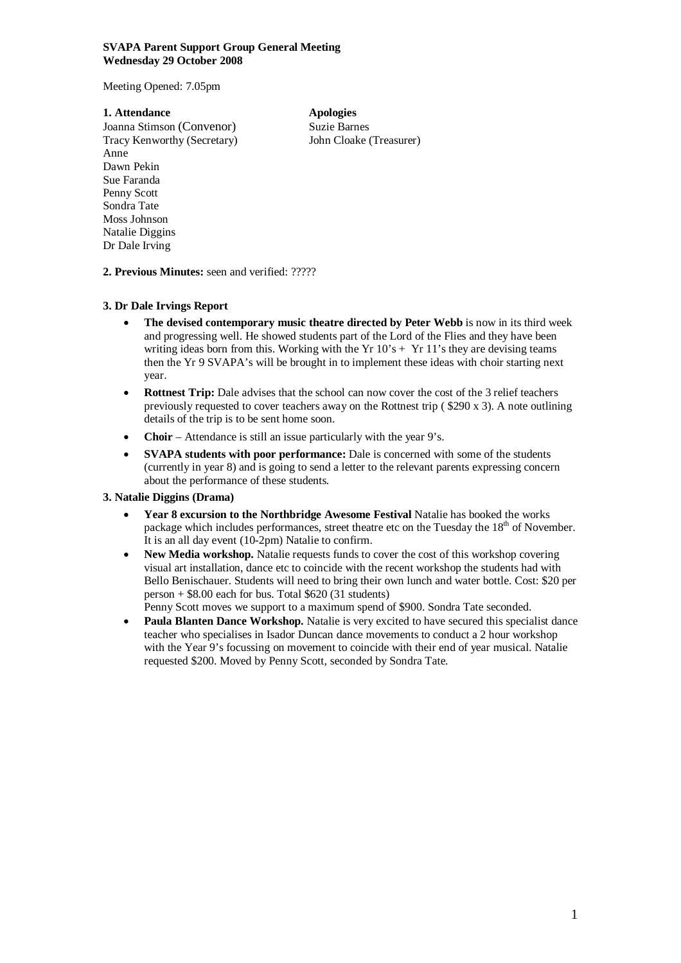### **SVAPA Parent Support Group General Meeting Wednesday 29 October 2008**

Meeting Opened: 7.05pm

### **1. Attendance Apologies**

Joanna Stimson (Convenor) Suzie Barnes Tracy Kenworthy (Secretary) John Cloake (Treasurer) Anne Dawn Pekin Sue Faranda Penny Scott Sondra Tate Moss Johnson Natalie Diggins Dr Dale Irving

# **2. Previous Minutes:** seen and verified: ?????

## **3. Dr Dale Irvings Report**

- **The devised contemporary music theatre directed by Peter Webb** is now in its third week and progressing well. He showed students part of the Lord of the Flies and they have been writing ideas born from this. Working with the Yr  $10's + Yr 11's$  they are devising teams then the Yr 9 SVAPA's will be brought in to implement these ideas with choir starting next year.
- **Rottnest Trip:** Dale advises that the school can now cover the cost of the 3 relief teachers previously requested to cover teachers away on the Rottnest trip ( \$290 x 3). A note outlining details of the trip is to be sent home soon.
- **Choir**  Attendance is still an issue particularly with the year 9's.
- **SVAPA students with poor performance:** Dale is concerned with some of the students (currently in year 8) and is going to send a letter to the relevant parents expressing concern about the performance of these students.

# **3. Natalie Diggins (Drama)**

- **Year 8 excursion to the Northbridge Awesome Festival** Natalie has booked the works package which includes performances, street theatre etc on the Tuesday the  $18<sup>th</sup>$  of November. It is an all day event (10-2pm) Natalie to confirm.
- **New Media workshop.** Natalie requests funds to cover the cost of this workshop covering visual art installation, dance etc to coincide with the recent workshop the students had with Bello Benischauer. Students will need to bring their own lunch and water bottle. Cost: \$20 per person  $+$  \$8.00 each for bus. Total \$620 (31 students)
- Penny Scott moves we support to a maximum spend of \$900. Sondra Tate seconded. **Paula Blanten Dance Workshop.** Natalie is very excited to have secured this specialist dance teacher who specialises in Isador Duncan dance movements to conduct a 2 hour workshop
- with the Year 9's focussing on movement to coincide with their end of year musical. Natalie requested \$200. Moved by Penny Scott, seconded by Sondra Tate.